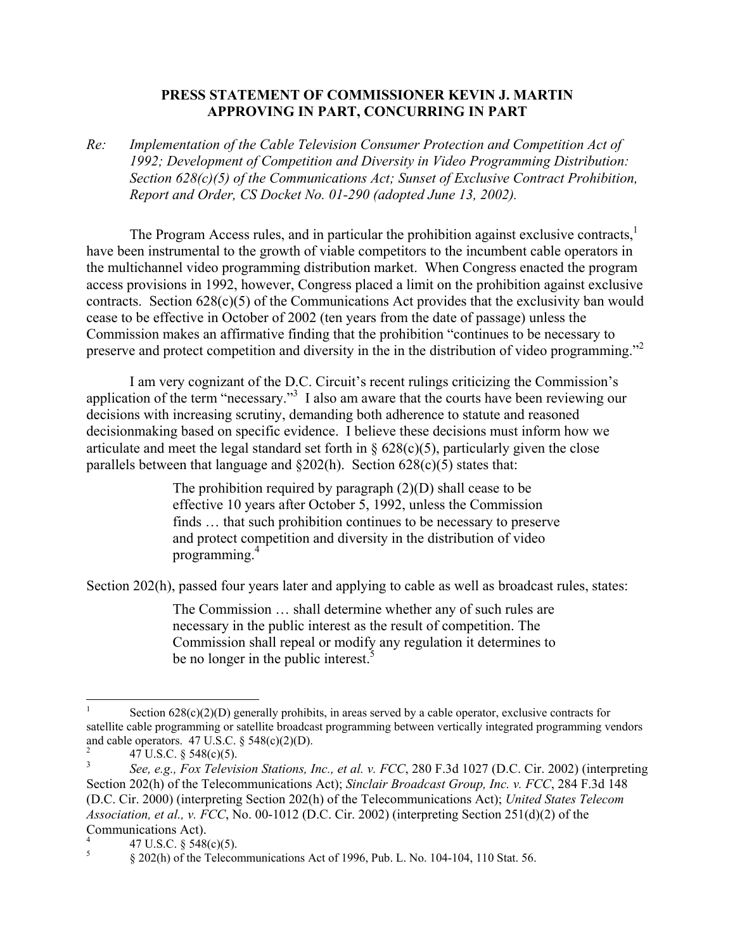## **PRESS STATEMENT OF COMMISSIONER KEVIN J. MARTIN APPROVING IN PART, CONCURRING IN PART**

*Re: Implementation of the Cable Television Consumer Protection and Competition Act of 1992; Development of Competition and Diversity in Video Programming Distribution: Section 628(c)(5) of the Communications Act; Sunset of Exclusive Contract Prohibition, Report and Order, CS Docket No. 01-290 (adopted June 13, 2002).* 

The Program Access rules, and in particular the prohibition against exclusive contracts.<sup>1</sup> have been instrumental to the growth of viable competitors to the incumbent cable operators in the multichannel video programming distribution market. When Congress enacted the program access provisions in 1992, however, Congress placed a limit on the prohibition against exclusive contracts. Section 628(c)(5) of the Communications Act provides that the exclusivity ban would cease to be effective in October of 2002 (ten years from the date of passage) unless the Commission makes an affirmative finding that the prohibition "continues to be necessary to preserve and protect competition and diversity in the in the distribution of video programming."<sup>2</sup>

I am very cognizant of the D.C. Circuit's recent rulings criticizing the Commission's application of the term "necessary."<sup>3</sup> I also am aware that the courts have been reviewing our decisions with increasing scrutiny, demanding both adherence to statute and reasoned decisionmaking based on specific evidence. I believe these decisions must inform how we articulate and meet the legal standard set forth in  $\S 628(c)(5)$ , particularly given the close parallels between that language and  $\S202(h)$ . Section  $628(c)(5)$  states that:

> The prohibition required by paragraph (2)(D) shall cease to be effective 10 years after October 5, 1992, unless the Commission finds … that such prohibition continues to be necessary to preserve and protect competition and diversity in the distribution of video programming.4

Section 202(h), passed four years later and applying to cable as well as broadcast rules, states:

The Commission … shall determine whether any of such rules are necessary in the public interest as the result of competition. The Commission shall repeal or modify any regulation it determines to be no longer in the public interest.<sup>5</sup>

l 1 Section  $628(c)(2)(D)$  generally prohibits, in areas served by a cable operator, exclusive contracts for satellite cable programming or satellite broadcast programming between vertically integrated programming vendors and cable operators.  $47 \text{ U.S.C.}$  §  $548(c)(2)(D)$ .

 <sup>47</sup> U.S.C. § 548(c)(5).

<sup>3</sup> *See, e.g., Fox Television Stations, Inc., et al. v. FCC*, 280 F.3d 1027 (D.C. Cir. 2002) (interpreting Section 202(h) of the Telecommunications Act); *Sinclair Broadcast Group, Inc. v. FCC*, 284 F.3d 148 (D.C. Cir. 2000) (interpreting Section 202(h) of the Telecommunications Act); *United States Telecom Association, et al., v. FCC*, No. 00-1012 (D.C. Cir. 2002) (interpreting Section 251(d)(2) of the Communications Act).

<sup>4</sup> 47 U.S.C. § 548(c)(5).

<sup>5</sup> § 202(h) of the Telecommunications Act of 1996, Pub. L. No. 104-104, 110 Stat. 56.